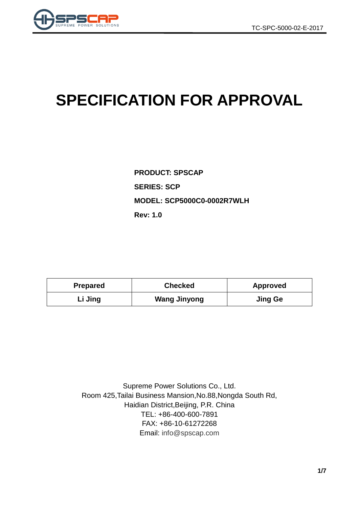

# **SPECIFICATION FOR APPROVAL**

**PRODUCT: SPSCAP SERIES: SCP MODEL: SCP5000C0-0002R7WLH Rev: 1.0**

| <b>Prepared</b> | <b>Checked</b>      | <b>Approved</b> |  |
|-----------------|---------------------|-----------------|--|
| Li Jing         | <b>Wang Jinyong</b> | <b>Jing Ge</b>  |  |

Supreme Power Solutions Co., Ltd. Room 425,Tailai Business Mansion,No.88,Nongda South Rd, Haidian District,Beijing, P.R. China TEL: +86-400-600-7891 FAX: +86-10-61272268 Email: [info@spscap.com](mailto:info@spscap.com)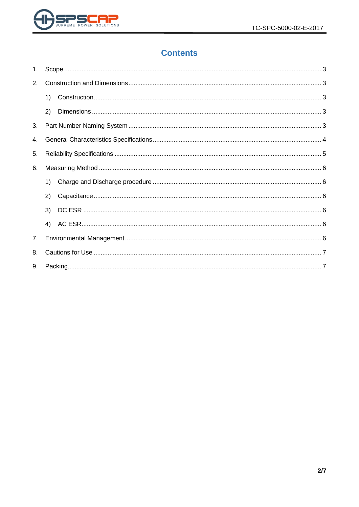

# **Contents**

| 1. |    |  |  |  |  |  |
|----|----|--|--|--|--|--|
| 2. |    |  |  |  |  |  |
|    | 1) |  |  |  |  |  |
|    | 2) |  |  |  |  |  |
| 3. |    |  |  |  |  |  |
| 4. |    |  |  |  |  |  |
| 5. |    |  |  |  |  |  |
| 6. |    |  |  |  |  |  |
|    | 1) |  |  |  |  |  |
|    | 2) |  |  |  |  |  |
|    | 3) |  |  |  |  |  |
|    | 4) |  |  |  |  |  |
| 7. |    |  |  |  |  |  |
| 8. |    |  |  |  |  |  |
| 9. |    |  |  |  |  |  |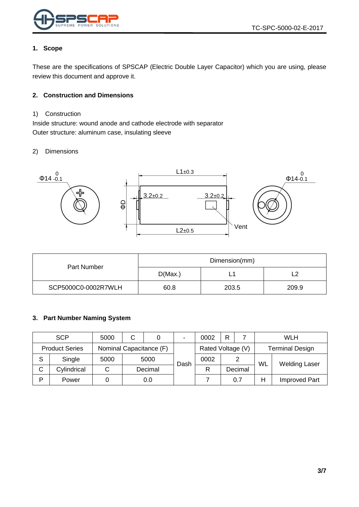

#### <span id="page-2-0"></span>**1. Scope**

These are the specifications of SPSCAP (Electric Double Layer Capacitor) which you are using, please review this document and approve it.

#### <span id="page-2-1"></span>**2. Construction and Dimensions**

#### <span id="page-2-2"></span>1) Construction

Inside structure: wound anode and cathode electrode with separator Outer structure: aluminum case, insulating sleeve

#### <span id="page-2-3"></span>2) Dimensions



|                     | Dimension(mm) |       |       |  |  |
|---------------------|---------------|-------|-------|--|--|
| Part Number         | D(Max.)       | -     |       |  |  |
| SCP5000C0-0002R7WLH | 60.8          | 203.5 | 209.9 |  |  |

#### <span id="page-2-4"></span>**3. Part Number Naming System**

|   | <b>SCP</b>                                                            | 5000 | C |         | $\blacksquare$ | 0002 | R                      |         |    | <b>WLH</b>           |
|---|-----------------------------------------------------------------------|------|---|---------|----------------|------|------------------------|---------|----|----------------------|
|   | Nominal Capacitance (F)<br>Rated Voltage (V)<br><b>Product Series</b> |      |   |         |                |      | <b>Terminal Design</b> |         |    |                      |
| S | Single                                                                | 5000 |   | 5000    | Dash           | 0002 |                        | 2       | WL | <b>Welding Laser</b> |
| C | Cylindrical                                                           |      |   | Decimal |                |      |                        | Decimal |    |                      |
| Þ | Power                                                                 |      |   | 0.0     |                |      |                        | 0.7     | Н  | <b>Improved Part</b> |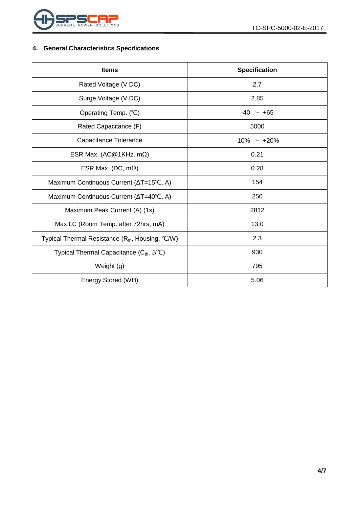

## <span id="page-3-0"></span>**4. General Characteristics Specifications**

| <b>Items</b>                                               | <b>Specification</b> |  |  |
|------------------------------------------------------------|----------------------|--|--|
| Rated Voltage (V DC)                                       | 2.7                  |  |  |
| Surge Voltage (V DC)                                       | 2.85                 |  |  |
| Operating Temp. (°C)                                       | $-40 \sim +65$       |  |  |
| Rated Capacitance (F)                                      | 5000                 |  |  |
| Capacitance Tolerance                                      | $-10\% \sim +20\%$   |  |  |
| ESR Max. (AC@1KHz, m $\Omega$ )                            | 0.21                 |  |  |
| ESR Max. (DC, $m\Omega$ )                                  | 0.28                 |  |  |
| Maximum Continuous Current (∆T=15°C, A)                    | 154                  |  |  |
| Maximum Continuous Current ( $\Delta T = 40^{\circ}C$ , A) | 250                  |  |  |
| Maximum Peak Current (A) (1s)                              | 2812                 |  |  |
| Max.LC (Room Temp. after 72hrs, mA)                        | 13.0                 |  |  |
| Typical Thermal Resistance $(R_{th}$ , Housing, °C/W)      | 2.3                  |  |  |
| Typical Thermal Capacitance (C <sub>th</sub> , J/°C)       | 930                  |  |  |
| Weight (g)                                                 | 795                  |  |  |
| Energy Stored (WH)                                         | 5.06                 |  |  |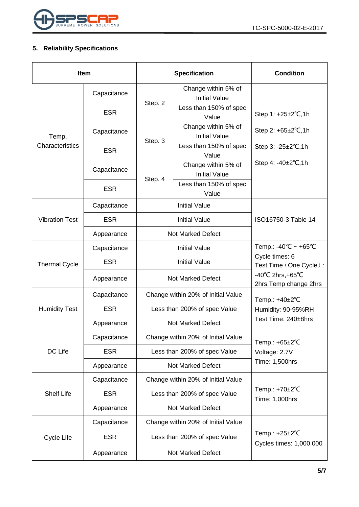

## <span id="page-4-0"></span>**5. Reliability Specifications**

| <b>Item</b>           |             |                                    | <b>Specification</b>                        | <b>Condition</b>                                                 |
|-----------------------|-------------|------------------------------------|---------------------------------------------|------------------------------------------------------------------|
|                       | Capacitance |                                    | Change within 5% of<br><b>Initial Value</b> |                                                                  |
| Temp.                 | <b>ESR</b>  | Step. 2                            | Less than 150% of spec<br>Value             | Step 1: +25±2°C,1h                                               |
|                       | Capacitance | Step. 3                            | Change within 5% of<br><b>Initial Value</b> | Step 2: $+65\pm2\degree$ C, 1h                                   |
| Characteristics       | <b>ESR</b>  |                                    | Less than 150% of spec<br>Value             | Step $3: -25 \pm 2^{\circ}C, 1h$                                 |
|                       | Capacitance | Step. 4                            | Change within 5% of<br><b>Initial Value</b> | Step 4: $-40\pm2^{\circ}C$ , 1h                                  |
|                       | <b>ESR</b>  |                                    | Less than 150% of spec<br>Value             |                                                                  |
|                       | Capacitance |                                    | <b>Initial Value</b>                        |                                                                  |
| <b>Vibration Test</b> | <b>ESR</b>  | <b>Initial Value</b>               |                                             | ISO16750-3 Table 14                                              |
|                       | Appearance  | <b>Not Marked Defect</b>           |                                             |                                                                  |
| <b>Thermal Cycle</b>  | Capacitance | <b>Initial Value</b>               |                                             | Temp.: -40°C ~ +65°C<br>Cycle times: 6<br>Test Time (One Cycle): |
|                       | <b>ESR</b>  | <b>Initial Value</b>               |                                             |                                                                  |
|                       | Appearance  |                                    | Not Marked Defect                           | $-40^{\circ}$ C 2hrs, +65 $^{\circ}$ C<br>2hrs, Temp change 2hrs |
|                       | Capacitance | Change within 20% of Initial Value |                                             | Temp.: +40±2°C                                                   |
| <b>Humidity Test</b>  | <b>ESR</b>  | Less than 200% of spec Value       |                                             | Humidity: 90-95%RH<br>Test Time: 240±8hrs                        |
|                       | Appearance  | <b>Not Marked Defect</b>           |                                             |                                                                  |
|                       | Capacitance |                                    | Change within 20% of Initial Value          | Temp.: $+65\pm2$ °C                                              |
| DC Life               | <b>ESR</b>  | Less than 200% of spec Value       |                                             | Voltage: 2.7V                                                    |
|                       | Appearance  | <b>Not Marked Defect</b>           |                                             | Time: 1,500hrs                                                   |
|                       | Capacitance | Change within 20% of Initial Value |                                             |                                                                  |
| <b>Shelf Life</b>     | <b>ESR</b>  | Less than 200% of spec Value       |                                             | Temp.: +70±2°C<br>Time: 1,000hrs                                 |
|                       | Appearance  | <b>Not Marked Defect</b>           |                                             |                                                                  |
|                       | Capacitance | Change within 20% of Initial Value |                                             |                                                                  |
| Cycle Life            | <b>ESR</b>  |                                    | Less than 200% of spec Value                | Temp.: $+25\pm2$ °C<br>Cycles times: 1,000,000                   |
|                       | Appearance  | Not Marked Defect                  |                                             |                                                                  |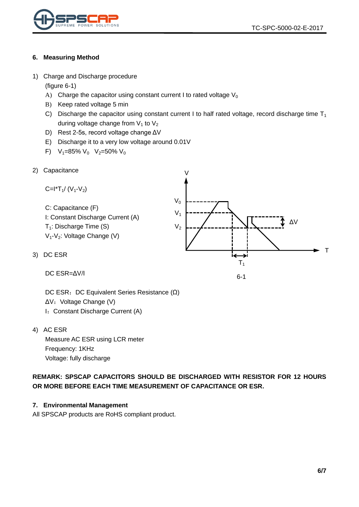



#### <span id="page-5-0"></span>**6. Measuring Method**

<span id="page-5-1"></span>1) Charge and Discharge procedure

(figure 6-1)

- A) Charge the capacitor using constant current I to rated voltage  $V_0$
- B) Keep rated voltage 5 min
- C) Discharge the capacitor using constant current I to half rated voltage, record discharge time  $T_1$ during voltage change from  $V_1$  to  $V_2$
- D) Rest 2-5s, record voltage change ΔV
- E) Discharge it to a very low voltage around 0.01V
- F)  $V_1=85\% V_0 V_2=50\% V_0$
- <span id="page-5-2"></span>2) Capacitance



<span id="page-5-3"></span>DC ESR=ΔV/I

DC ESR: DC Equivalent Series Resistance (Ω) ΔV: Voltage Change (V) I: Constant Discharge Current (A)

<span id="page-5-4"></span>4) AC ESR

Measure AC ESR using LCR meter Frequency: 1KHz Voltage: fully discharge

**REMARK: SPSCAP CAPACITORS SHOULD BE DISCHARGED WITH RESISTOR FOR 12 HOURS OR MORE BEFORE EACH TIME MEASUREMENT OF CAPACITANCE OR ESR.**

#### <span id="page-5-5"></span>**7. Environmental Management**

All SPSCAP products are RoHS compliant product.